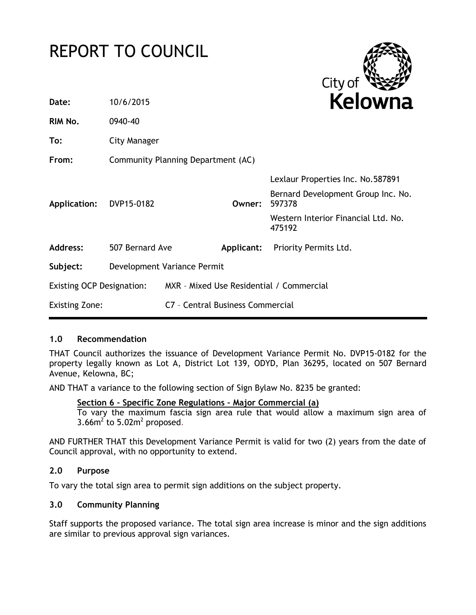# REPORT TO COUNCIL



| Date:                     | 10/6/2015                          |                                          |            | Kelowna                                       |
|---------------------------|------------------------------------|------------------------------------------|------------|-----------------------------------------------|
| RIM No.                   | 0940-40                            |                                          |            |                                               |
| To:                       | City Manager                       |                                          |            |                                               |
| From:                     | Community Planning Department (AC) |                                          |            |                                               |
|                           |                                    |                                          |            | Lexlaur Properties Inc. No.587891             |
| Application:              | DVP15-0182                         |                                          | Owner:     | Bernard Development Group Inc. No.<br>597378  |
|                           |                                    |                                          |            | Western Interior Financial Ltd. No.<br>475192 |
| <b>Address:</b>           | 507 Bernard Ave                    |                                          | Applicant: | Priority Permits Ltd.                         |
| Subject:                  | Development Variance Permit        |                                          |            |                                               |
| Existing OCP Designation: |                                    | MXR - Mixed Use Residential / Commercial |            |                                               |
| <b>Existing Zone:</b>     |                                    | C7 - Central Business Commercial         |            |                                               |
|                           |                                    |                                          |            |                                               |

## **1.0 Recommendation**

THAT Council authorizes the issuance of Development Variance Permit No. DVP15-0182 for the property legally known as Lot A, District Lot 139, ODYD, Plan 36295, located on 507 Bernard Avenue, Kelowna, BC;

AND THAT a variance to the following section of Sign Bylaw No. 8235 be granted:

#### **Section 6 – Specific Zone Regulations – Major Commercial (a)**

To vary the maximum fascia sign area rule that would allow a maximum sign area of  $3.66$ m<sup>2</sup> to  $5.02$ m<sup>2</sup> proposed.

AND FURTHER THAT this Development Variance Permit is valid for two (2) years from the date of Council approval, with no opportunity to extend.

## **2.0 Purpose**

To vary the total sign area to permit sign additions on the subject property.

#### **3.0 Community Planning**

Staff supports the proposed variance. The total sign area increase is minor and the sign additions are similar to previous approval sign variances.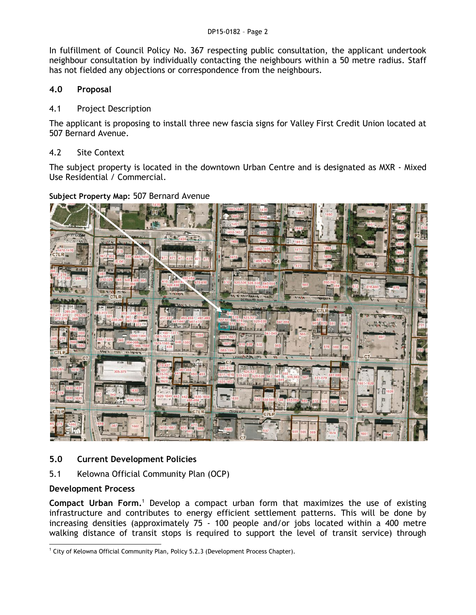In fulfillment of Council Policy No. 367 respecting public consultation, the applicant undertook neighbour consultation by individually contacting the neighbours within a 50 metre radius. Staff has not fielded any objections or correspondence from the neighbours.

# **4.0 Proposal**

## 4.1 Project Description

The applicant is proposing to install three new fascia signs for Valley First Credit Union located at 507 Bernard Avenue.

#### 4.2 Site Context

The subject property is located in the downtown Urban Centre and is designated as MXR - Mixed Use Residential / Commercial.

#### **Subject Property Map:** 507 Bernard Avenue



## **5.0 Current Development Policies**

5.1 Kelowna Official Community Plan (OCP)

## **Development Process**

**Compact Urban Form.**<sup>1</sup> Develop a compact urban form that maximizes the use of existing infrastructure and contributes to energy efficient settlement patterns. This will be done by increasing densities (approximately 75 - 100 people and/or jobs located within a 400 metre walking distance of transit stops is required to support the level of transit service) through

<sup>-</sup><sup>1</sup> City of Kelowna Official Community Plan, Policy 5.2.3 (Development Process Chapter).